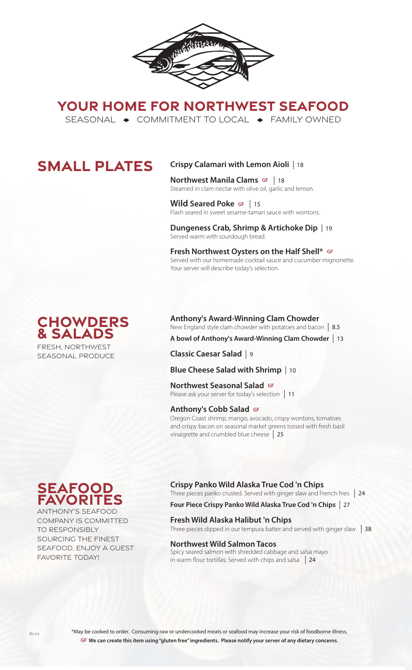

**YOUR HOME FOR NORTHWEST SEAFOOD** SEASONAL  $\rightarrow$  COMMITMENT TO LOCAL  $\rightarrow$  FAMILY OWNED

# **SMALL PLATES**

## **Crispy Calamari with Lemon Aioli**  18

**Northwest Manila Clams GF** | 18 **NOT LITIVEST MATTIME CRATTIS SIMPLE 16**<br>Steamed in clam nectar with olive oil, garlic and lemon.

Wild Seared Poke GF | 15 **THE SEATED FUNCE SHIPS SEARCH SEARCH SEARCH SEARCH SEARCH SEARCH SEARCH SEARCH SEARCH SEARCH SEARCH SEARCH SEARCH S** 

**Dungeness Crab, Shrimp & Artichoke Dip**  19 Served warm with sourdough bread.

**Fresh Northwest Oysters on the Half Shell\* GF** Served with our homemade cocktail sauce and cucumber mignonette. Your server will describe today's selection.

### **Chowders & Salads** FRESH, NORTHWEST SEASONAL PRODUCE

**Anthony's Award-Winning Clam Chowder** New England style clam chowder with potatoes and bacon 8.5

**A bowl of Anthony's Award-Winning Clam Chowder**  13

**Classic Caesar Salad**  9

**Blue Cheese Salad with Shrimp**  10

**Northwest Seasonal Salad GF TOI LITWEST SEASOTIAT SATACE OF**<br>Please ask your server for today's selection | 11

#### **Anthony's Cobb Salad GF**

Oregon Coast shrimp, mango, avocado, crispy wontons, tomatoes and crispy bacon on seasonal market greens tossed with fresh basil vinaigrette and crumbled blue cheese 25

# **seafood favorites**

ANTHONY'S SEAFOOD COMPANY IS COMMITTED TO RESPONSIBLY SOURCING THE FINEST SEAFOOD. ENJOY A GUEST FAVORITE TODAY!

## **Crispy Panko Wild Alaska True Cod 'n Chips**

Three pieces panko crusted. Served with ginger slaw and French fries 24

## **Four Piece Crispy Panko Wild Alaska True Cod 'n Chips**  27

**Fresh Wild Alaska Halibut 'n Chips** 

Three pieces dipped in our tempura batter and served with ginger slaw  $\parallel$  38

#### **Northwest Wild Salmon Tacos**

Spicy seared salmon with shredded cabbage and salsa mayo in warm flour tortillas. Served with chips and salsa 24

\*May be cooked to order. Consuming raw or undercooked meats or seafood may increase your risk of foodborne illness. **GF We can create this item using "gluten free" ingredients. Please notify your server of any dietary concerns**.